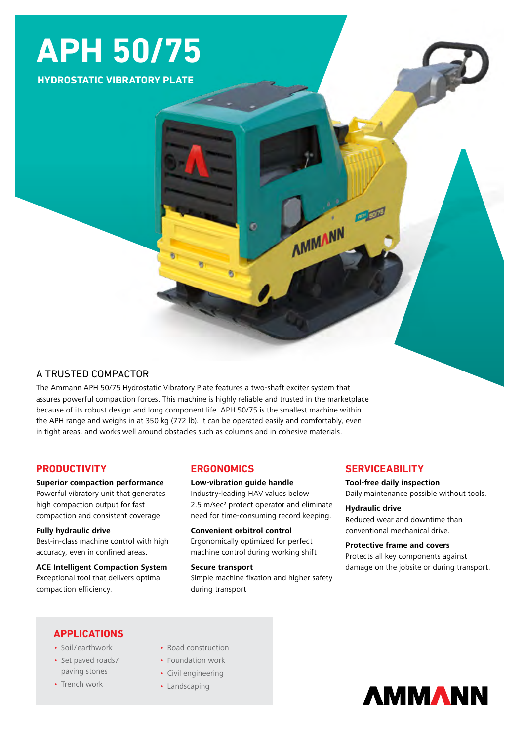# **APH 50/75**

**HYDROSTATIC VIBRATORY PLATE**

## A TRUSTED COMPACTOR

The Ammann APH 50/75 Hydrostatic Vibratory Plate features a two-shaft exciter system that assures powerful compaction forces. This machine is highly reliable and trusted in the marketplace because of its robust design and long component life. APH 50/75 is the smallest machine within the APH range and weighs in at 350 kg (772 lb). It can be operated easily and comfortably, even in tight areas, and works well around obstacles such as columns and in cohesive materials.

## **PRODUCTIVITY**

#### **Superior compaction performance**

Powerful vibratory unit that generates high compaction output for fast compaction and consistent coverage.

#### **Fully hydraulic drive**

Best-in-class machine control with high accuracy, even in confined areas.

**ACE Intelligent Compaction System** Exceptional tool that delivers optimal compaction efficiency.

## **ERGONOMICS**

**Low-vibration guide handle** Industry-leading HAV values below 2.5 m/sec2 protect operator and eliminate need for time-consuming record keeping.

**Convenient orbitrol control** Ergonomically optimized for perfect machine control during working shift

#### **Secure transport**

Simple machine fixation and higher safety during transport

## **SERVICEABILITY**

**AMMANN** 

**Tool-free daily inspection** Daily maintenance possible without tools.

**Hydraulic drive** Reduced wear and downtime than conventional mechanical drive.

### **Protective frame and covers** Protects all key components against damage on the jobsite or during transport.

## **APPLICATIONS**

- Soil/ earthwork
- Set paved roads/ paving stones
- Trench work
- Road construction
- Foundation work
- Civil engineering
- Landscaping